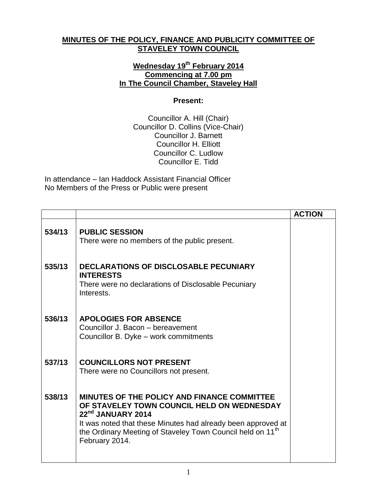## **MINUTES OF THE POLICY, FINANCE AND PUBLICITY COMMITTEE OF STAVELEY TOWN COUNCIL**

## **Wednesday 19th February 2014 Commencing at 7.00 pm In The Council Chamber, Staveley Hall**

## **Present:**

Councillor A. Hill (Chair) Councillor D. Collins (Vice-Chair) Councillor J. Barnett Councillor H. Elliott Councillor C. Ludlow Councillor E. Tidd

In attendance – Ian Haddock Assistant Financial Officer No Members of the Press or Public were present

|        |                                                                                                                                                                                                                                                                            | <b>ACTION</b> |
|--------|----------------------------------------------------------------------------------------------------------------------------------------------------------------------------------------------------------------------------------------------------------------------------|---------------|
| 534/13 | <b>PUBLIC SESSION</b><br>There were no members of the public present.                                                                                                                                                                                                      |               |
| 535/13 | DECLARATIONS OF DISCLOSABLE PECUNIARY<br><b>INTERESTS</b><br>There were no declarations of Disclosable Pecuniary<br>Interests.                                                                                                                                             |               |
| 536/13 | <b>APOLOGIES FOR ABSENCE</b><br>Councillor J. Bacon - bereavement<br>Councillor B. Dyke - work commitments                                                                                                                                                                 |               |
| 537/13 | <b>COUNCILLORS NOT PRESENT</b><br>There were no Councillors not present.                                                                                                                                                                                                   |               |
| 538/13 | MINUTES OF THE POLICY AND FINANCE COMMITTEE<br>OF STAVELEY TOWN COUNCIL HELD ON WEDNESDAY<br>22nd JANUARY 2014<br>It was noted that these Minutes had already been approved at<br>the Ordinary Meeting of Staveley Town Council held on 11 <sup>th</sup><br>February 2014. |               |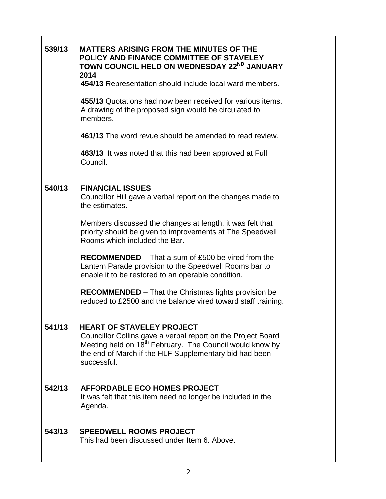| 539/13 | <b>MATTERS ARISING FROM THE MINUTES OF THE</b><br>POLICY AND FINANCE COMMITTEE OF STAVELEY<br>TOWN COUNCIL HELD ON WEDNESDAY 22ND JANUARY<br>2014                                                                                                 |  |
|--------|---------------------------------------------------------------------------------------------------------------------------------------------------------------------------------------------------------------------------------------------------|--|
|        | 454/13 Representation should include local ward members.                                                                                                                                                                                          |  |
|        | 455/13 Quotations had now been received for various items.<br>A drawing of the proposed sign would be circulated to<br>members.                                                                                                                   |  |
|        | 461/13 The word revue should be amended to read review.                                                                                                                                                                                           |  |
|        | 463/13 It was noted that this had been approved at Full<br>Council.                                                                                                                                                                               |  |
| 540/13 | <b>FINANCIAL ISSUES</b><br>Councillor Hill gave a verbal report on the changes made to<br>the estimates.                                                                                                                                          |  |
|        | Members discussed the changes at length, it was felt that<br>priority should be given to improvements at The Speedwell<br>Rooms which included the Bar.                                                                                           |  |
|        | <b>RECOMMENDED</b> – That a sum of £500 be vired from the<br>Lantern Parade provision to the Speedwell Rooms bar to<br>enable it to be restored to an operable condition.                                                                         |  |
|        | <b>RECOMMENDED</b> – That the Christmas lights provision be<br>reduced to £2500 and the balance vired toward staff training.                                                                                                                      |  |
| 541/13 | <b>HEART OF STAVELEY PROJECT</b><br>Councillor Collins gave a verbal report on the Project Board<br>Meeting held on 18 <sup>th</sup> February. The Council would know by<br>the end of March if the HLF Supplementary bid had been<br>successful. |  |
| 542/13 | <b>AFFORDABLE ECO HOMES PROJECT</b><br>It was felt that this item need no longer be included in the<br>Agenda.                                                                                                                                    |  |
| 543/13 | <b>SPEEDWELL ROOMS PROJECT</b><br>This had been discussed under Item 6. Above.                                                                                                                                                                    |  |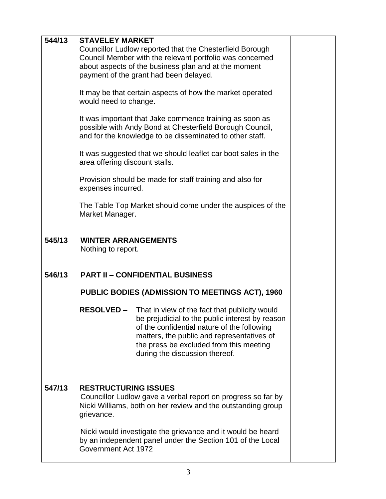| 544/13 | <b>STAVELEY MARKET</b>                                                                                                                                                          |                                                                                                                                                                                                                                                                                              |  |  |  |
|--------|---------------------------------------------------------------------------------------------------------------------------------------------------------------------------------|----------------------------------------------------------------------------------------------------------------------------------------------------------------------------------------------------------------------------------------------------------------------------------------------|--|--|--|
|        |                                                                                                                                                                                 | Councillor Ludlow reported that the Chesterfield Borough<br>Council Member with the relevant portfolio was concerned<br>about aspects of the business plan and at the moment<br>payment of the grant had been delayed.                                                                       |  |  |  |
|        | It may be that certain aspects of how the market operated<br>would need to change.                                                                                              |                                                                                                                                                                                                                                                                                              |  |  |  |
|        | It was important that Jake commence training as soon as<br>possible with Andy Bond at Chesterfield Borough Council,<br>and for the knowledge to be disseminated to other staff. |                                                                                                                                                                                                                                                                                              |  |  |  |
|        | It was suggested that we should leaflet car boot sales in the<br>area offering discount stalls.                                                                                 |                                                                                                                                                                                                                                                                                              |  |  |  |
|        | Provision should be made for staff training and also for<br>expenses incurred.                                                                                                  |                                                                                                                                                                                                                                                                                              |  |  |  |
|        | The Table Top Market should come under the auspices of the<br>Market Manager.                                                                                                   |                                                                                                                                                                                                                                                                                              |  |  |  |
| 545/13 | <b>WINTER ARRANGEMENTS</b><br>Nothing to report.                                                                                                                                |                                                                                                                                                                                                                                                                                              |  |  |  |
| 546/13 | <b>PART II - CONFIDENTIAL BUSINESS</b>                                                                                                                                          |                                                                                                                                                                                                                                                                                              |  |  |  |
|        | PUBLIC BODIES (ADMISSION TO MEETINGS ACT), 1960                                                                                                                                 |                                                                                                                                                                                                                                                                                              |  |  |  |
|        |                                                                                                                                                                                 | <b>RESOLVED</b> - That in view of the fact that publicity would<br>be prejudicial to the public interest by reason<br>of the confidential nature of the following<br>matters, the public and representatives of<br>the press be excluded from this meeting<br>during the discussion thereof. |  |  |  |
| 547/13 | <b>RESTRUCTURING ISSUES</b><br>Councillor Ludlow gave a verbal report on progress so far by<br>Nicki Williams, both on her review and the outstanding group<br>grievance.       |                                                                                                                                                                                                                                                                                              |  |  |  |
|        | Government Act 1972                                                                                                                                                             | Nicki would investigate the grievance and it would be heard<br>by an independent panel under the Section 101 of the Local                                                                                                                                                                    |  |  |  |